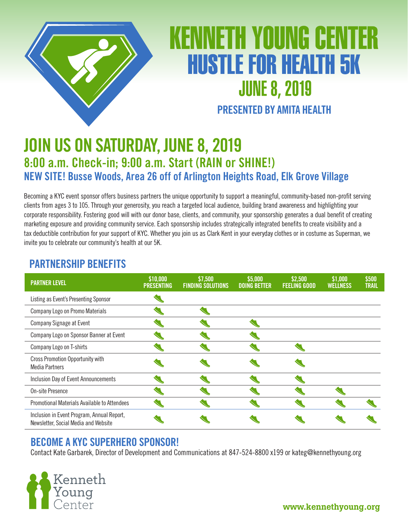

# ENINETH YOUNG CENT **HUSTLE FOR HEALTH 5K JUNE 8, 2019 PRESENTED BY AMITA HEALTH**

## **JOIN US ON SATURDAY, JUNE 8, 2019 8:00 a.m. Check-in; 9:00 a.m. Start (RAIN or SHINE!) NEW SITE! Busse Woods, Area 26 off of Arlington Heights Road, Elk Grove Village**

Becoming a KYC event sponsor offers business partners the unique opportunity to support a meaningful, community-based non-profit serving clients from ages 3 to 105. Through your generosity, you reach a targeted local audience, building brand awareness and highlighting your corporate responsibility. Fostering good will with our donor base, clients, and community, your sponsorship generates a dual benefit of creating marketing exposure and providing community service. Each sponsorship includes strategically integrated benefits to create visibility and a tax deductible contribution for your support of KYC. Whether you join us as Clark Kent in your everyday clothes or in costume as Superman, we invite you to celebrate our community's health at our 5K.

| <b>PARTNER LEVEL</b>                                                               | \$10,000<br><b>PRESENTING</b> | \$7,500<br><b>FINDING SOLUTIONS</b> | \$5,000<br><b>DOING BETTER</b> | \$2,500<br><b>FEELING GOOD</b> | \$1,000<br><b>WELLNESS</b> | \$500<br><b>TRAIL</b> |
|------------------------------------------------------------------------------------|-------------------------------|-------------------------------------|--------------------------------|--------------------------------|----------------------------|-----------------------|
| Listing as Event's Presenting Sponsor                                              |                               |                                     |                                |                                |                            |                       |
| Company Logo on Promo Materials                                                    |                               |                                     |                                |                                |                            |                       |
| Company Signage at Event                                                           |                               |                                     |                                |                                |                            |                       |
| Company Logo on Sponsor Banner at Event                                            |                               |                                     |                                |                                |                            |                       |
| Company Logo on T-shirts                                                           |                               |                                     |                                |                                |                            |                       |
| <b>Cross Promotion Opportunity with</b><br><b>Media Partners</b>                   |                               |                                     |                                |                                |                            |                       |
| <b>Inclusion Day of Event Announcements</b>                                        |                               |                                     |                                |                                |                            |                       |
| On-site Presence                                                                   |                               |                                     |                                |                                |                            |                       |
| Promotional Materials Available to Attendees                                       |                               |                                     |                                |                                |                            |                       |
| Inclusion in Event Program, Annual Report,<br>Newsletter, Social Media and Website |                               |                                     |                                |                                |                            |                       |

### **PARTNERSHIP BENEFITS**

### **BECOME A KYC SUPERHERO SPONSOR!**

Contact Kate Garbarek, Director of Development and Communications at 847-524-8800 x199 or kateg@kennethyoung.org

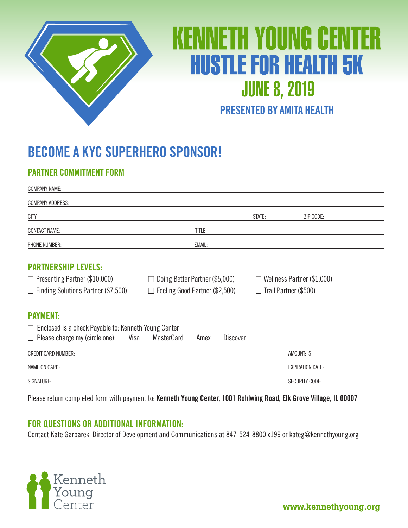

# KENINETH YOUNG CENITER **HUSTLE FOR HEALTH 5K JUNE 8, 2019**

### **PRESENTED BY AMITA HEALTH**

## **BECOME A KYC SUPERHERO SPONSOR!**

#### **PARTNER COMMITMENT FORM**

| <b>COMPANY NAME:</b>                                        |                                       |        |                              |                                      |                         |
|-------------------------------------------------------------|---------------------------------------|--------|------------------------------|--------------------------------------|-------------------------|
| <b>COMPANY ADDRESS:</b>                                     |                                       |        |                              |                                      |                         |
| CITY:                                                       |                                       |        |                              | STATE:                               | ZIP CODE:               |
| <b>CONTACT NAME:</b>                                        |                                       | TITLE: |                              |                                      |                         |
| <b>PHONE NUMBER:</b>                                        |                                       | EMAIL: |                              |                                      |                         |
| <b>PARTNERSHIP LEVELS:</b>                                  |                                       |        |                              |                                      |                         |
| $\Box$ Presenting Partner (\$10,000)                        | $\Box$ Doing Better Partner (\$5,000) |        |                              | Wellness Partner (\$1,000)<br>$\Box$ |                         |
| $\Box$ Finding Solutions Partner (\$7,500)                  | $\Box$ Feeling Good Partner (\$2,500) |        | $\Box$ Trail Partner (\$500) |                                      |                         |
| <b>PAYMENT:</b>                                             |                                       |        |                              |                                      |                         |
| $\Box$ Enclosed is a check Payable to: Kenneth Young Center |                                       |        |                              |                                      |                         |
| $\Box$ Please charge my (circle one):<br>Visa               | <b>MasterCard</b>                     | Amex   | <b>Discover</b>              |                                      |                         |
| CREDIT CARD NUMBER:                                         |                                       |        |                              |                                      | AMOUNT: \$              |
| <b>NAME ON CARD:</b>                                        |                                       |        |                              |                                      | <b>EXPIRATION DATE:</b> |
| SIGNATURE:                                                  |                                       |        |                              |                                      | <b>SECURITY CODE:</b>   |

Please return completed form with payment to: **Kenneth Young Center, 1001 Rohlwing Road, Elk Grove Village, IL 60007**

#### **FOR QUESTIONS OR ADDITIONAL INFORMATION:**

Contact Kate Garbarek, Director of Development and Communications at 847-524-8800 x199 or kateg@kennethyoung.org